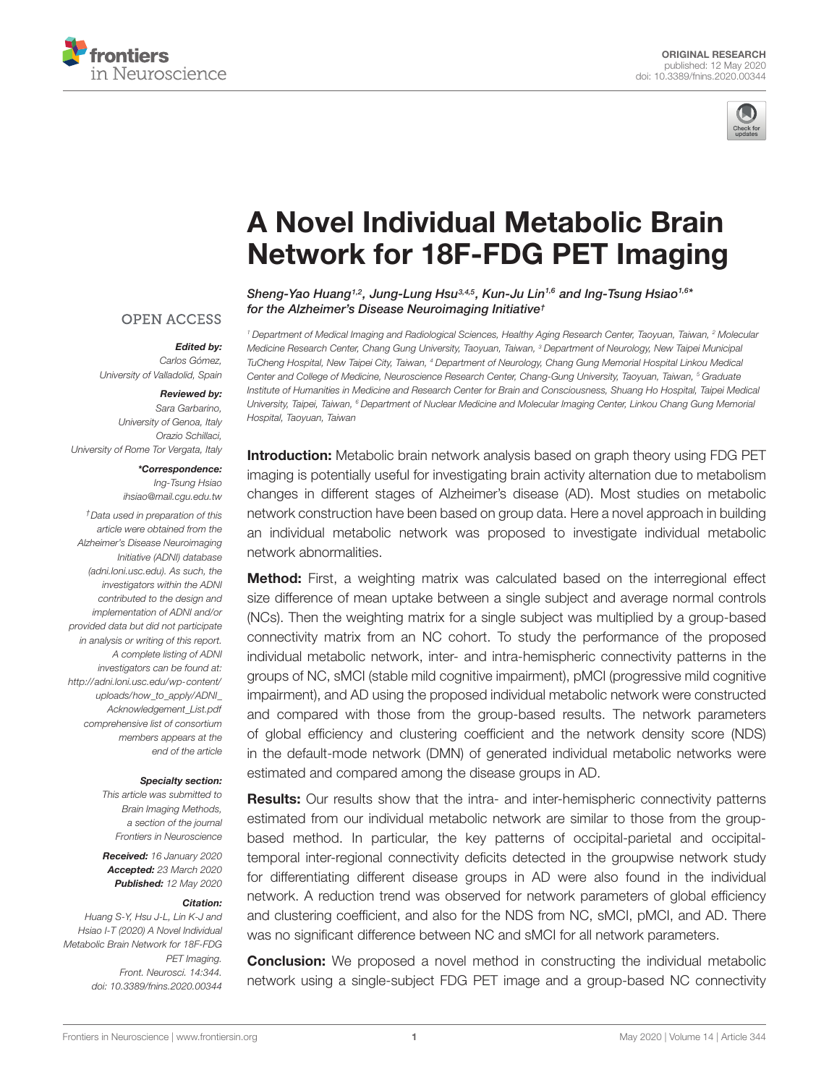



# A Novel Individual Metabolic Brain [Network for 18F-FDG PET Imaging](https://www.frontiersin.org/articles/10.3389/fnins.2020.00344/full)

[Sheng-Yao Huang](http://loop.frontiersin.org/people/670146/overview)<sup>1,2</sup>, [Jung-Lung Hsu](http://loop.frontiersin.org/people/266049/overview)<sup>3,4,5</sup>, [Kun-Ju Lin](http://loop.frontiersin.org/people/735881/overview)<sup>1,6</sup> and Ing-Tsung Hsiao<sup>1,6\*</sup> for the Alzheimer's Disease Neuroimaging Initiative<sup>†</sup>

#### **OPEN ACCESS**

#### Edited by:

Carlos Gómez, University of Valladolid, Spain

#### Reviewed by:

Sara Garbarino, University of Genoa, Italy Orazio Schillaci, University of Rome Tor Vergata, Italy

#### \*Correspondence: Ing-Tsung Hsiao

ihsiao@mail.cgu.edu.tw

†Data used in preparation of this article were obtained from the Alzheimer's Disease Neuroimaging Initiative (ADNI) database [\(adni.loni.usc.edu\)](http://adni.loni.usc.edu/). As such, the investigators within the ADNI contributed to the design and implementation of ADNI and/or provided data but did not participate in analysis or writing of this report. A complete listing of ADNI investigators can be found at: [http://adni.loni.usc.edu/wp-content/](http://adni.loni.usc.edu/wp-content/uploads/how_to_apply/ADNI_Acknowledgement_List.pdf) uploads/how\_to\_apply/ADNI [Acknowledgement\\_List.pdf](http://adni.loni.usc.edu/wp-content/uploads/how_to_apply/ADNI_Acknowledgement_List.pdf) comprehensive list of consortium members appears at the end of the article

#### Specialty section:

This article was submitted to Brain Imaging Methods, a section of the journal Frontiers in Neuroscience

Received: 16 January 2020 Accepted: 23 March 2020 Published: 12 May 2020

#### Citation:

Huang S-Y, Hsu J-L, Lin K-J and Hsiao I-T (2020) A Novel Individual Metabolic Brain Network for 18F-FDG PET Imaging. Front. Neurosci. 14:344. doi: [10.3389/fnins.2020.00344](https://doi.org/10.3389/fnins.2020.00344)

<sup>1</sup> Department of Medical Imaging and Radiological Sciences, Healthy Aging Research Center, Taoyuan, Taiwan, <sup>2</sup> Molecular Medicine Research Center, Chang Gung University, Taoyuan, Taiwan, <sup>3</sup> Department of Neurology, New Taipei Municipal TuCheng Hospital, New Taipei City, Taiwan, <sup>4</sup> Department of Neurology, Chang Gung Memorial Hospital Linkou Medical Center and College of Medicine, Neuroscience Research Center, Chang-Gung University, Taoyuan, Taiwan, <sup>5</sup> Graduate Institute of Humanities in Medicine and Research Center for Brain and Consciousness, Shuang Ho Hospital, Taipei Medical University, Taipei, Taiwan, <sup>6</sup> Department of Nuclear Medicine and Molecular Imaging Center, Linkou Chang Gung Memorial Hospital, Taoyuan, Taiwan

Introduction: Metabolic brain network analysis based on graph theory using FDG PET imaging is potentially useful for investigating brain activity alternation due to metabolism changes in different stages of Alzheimer's disease (AD). Most studies on metabolic network construction have been based on group data. Here a novel approach in building an individual metabolic network was proposed to investigate individual metabolic network abnormalities.

**Method:** First, a weighting matrix was calculated based on the interregional effect size difference of mean uptake between a single subject and average normal controls (NCs). Then the weighting matrix for a single subject was multiplied by a group-based connectivity matrix from an NC cohort. To study the performance of the proposed individual metabolic network, inter- and intra-hemispheric connectivity patterns in the groups of NC, sMCI (stable mild cognitive impairment), pMCI (progressive mild cognitive impairment), and AD using the proposed individual metabolic network were constructed and compared with those from the group-based results. The network parameters of global efficiency and clustering coefficient and the network density score (NDS) in the default-mode network (DMN) of generated individual metabolic networks were estimated and compared among the disease groups in AD.

Results: Our results show that the intra- and inter-hemispheric connectivity patterns estimated from our individual metabolic network are similar to those from the groupbased method. In particular, the key patterns of occipital-parietal and occipitaltemporal inter-regional connectivity deficits detected in the groupwise network study for differentiating different disease groups in AD were also found in the individual network. A reduction trend was observed for network parameters of global efficiency and clustering coefficient, and also for the NDS from NC, sMCI, pMCI, and AD. There was no significant difference between NC and sMCI for all network parameters.

**Conclusion:** We proposed a novel method in constructing the individual metabolic network using a single-subject FDG PET image and a group-based NC connectivity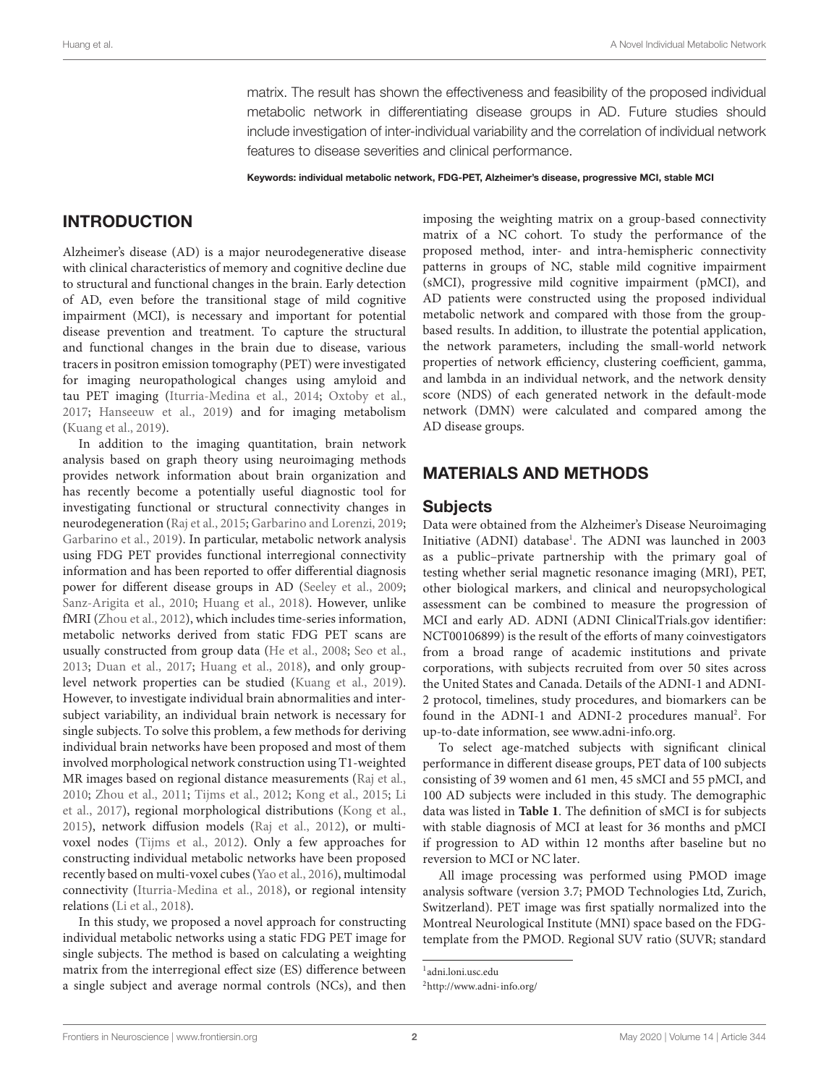matrix. The result has shown the effectiveness and feasibility of the proposed individual metabolic network in differentiating disease groups in AD. Future studies should include investigation of inter-individual variability and the correlation of individual network features to disease severities and clinical performance.

Keywords: individual metabolic network, FDG-PET, Alzheimer's disease, progressive MCI, stable MCI

# **INTRODUCTION**

Alzheimer's disease (AD) is a major neurodegenerative disease with clinical characteristics of memory and cognitive decline due to structural and functional changes in the brain. Early detection of AD, even before the transitional stage of mild cognitive impairment (MCI), is necessary and important for potential disease prevention and treatment. To capture the structural and functional changes in the brain due to disease, various tracers in positron emission tomography (PET) were investigated for imaging neuropathological changes using amyloid and tau PET imaging [\(Iturria-Medina et al.,](#page-9-0) [2014;](#page-9-0) [Oxtoby et al.,](#page-9-1) [2017;](#page-9-1) [Hanseeuw et al.,](#page-9-2) [2019\)](#page-9-2) and for imaging metabolism [\(Kuang et al.,](#page-9-3) [2019\)](#page-9-3).

In addition to the imaging quantitation, brain network analysis based on graph theory using neuroimaging methods provides network information about brain organization and has recently become a potentially useful diagnostic tool for investigating functional or structural connectivity changes in neurodegeneration [\(Raj et al.,](#page-9-4) [2015;](#page-9-4) [Garbarino and Lorenzi,](#page-8-0) [2019;](#page-8-0) [Garbarino et al.,](#page-9-5) [2019\)](#page-9-5). In particular, metabolic network analysis using FDG PET provides functional interregional connectivity information and has been reported to offer differential diagnosis power for different disease groups in AD [\(Seeley et al.,](#page-9-6) [2009;](#page-9-6) [Sanz-Arigita et al.,](#page-9-7) [2010;](#page-9-7) [Huang et al.,](#page-9-8) [2018\)](#page-9-8). However, unlike fMRI [\(Zhou et al.,](#page-10-0) [2012\)](#page-10-0), which includes time-series information, metabolic networks derived from static FDG PET scans are usually constructed from group data [\(He et al.,](#page-9-9) [2008;](#page-9-9) [Seo et al.,](#page-9-10) [2013;](#page-9-10) [Duan et al.,](#page-8-1) [2017;](#page-8-1) [Huang et al.,](#page-9-8) [2018\)](#page-9-8), and only grouplevel network properties can be studied [\(Kuang et al.,](#page-9-3) [2019\)](#page-9-3). However, to investigate individual brain abnormalities and intersubject variability, an individual brain network is necessary for single subjects. To solve this problem, a few methods for deriving individual brain networks have been proposed and most of them involved morphological network construction using T1-weighted MR images based on regional distance measurements [\(Raj et al.,](#page-9-11) [2010;](#page-9-11) [Zhou et al.,](#page-10-1) [2011;](#page-10-1) [Tijms et al.,](#page-9-12) [2012;](#page-9-12) [Kong et al.,](#page-9-13) [2015;](#page-9-13) [Li](#page-9-14) [et al.,](#page-9-14) [2017\)](#page-9-14), regional morphological distributions [\(Kong et al.,](#page-9-13) [2015\)](#page-9-13), network diffusion models [\(Raj et al.,](#page-9-15) [2012\)](#page-9-15), or multivoxel nodes [\(Tijms et al.,](#page-9-12) [2012\)](#page-9-12). Only a few approaches for constructing individual metabolic networks have been proposed recently based on multi-voxel cubes [\(Yao et al.,](#page-9-16) [2016\)](#page-9-16), multimodal connectivity [\(Iturria-Medina et al.,](#page-9-17) [2018\)](#page-9-17), or regional intensity relations [\(Li et al.,](#page-9-18) [2018\)](#page-9-18).

In this study, we proposed a novel approach for constructing individual metabolic networks using a static FDG PET image for single subjects. The method is based on calculating a weighting matrix from the interregional effect size (ES) difference between a single subject and average normal controls (NCs), and then

imposing the weighting matrix on a group-based connectivity matrix of a NC cohort. To study the performance of the proposed method, inter- and intra-hemispheric connectivity patterns in groups of NC, stable mild cognitive impairment (sMCI), progressive mild cognitive impairment (pMCI), and AD patients were constructed using the proposed individual metabolic network and compared with those from the groupbased results. In addition, to illustrate the potential application, the network parameters, including the small-world network properties of network efficiency, clustering coefficient, gamma, and lambda in an individual network, and the network density score (NDS) of each generated network in the default-mode network (DMN) were calculated and compared among the AD disease groups.

### MATERIALS AND METHODS

#### **Subjects**

Data were obtained from the Alzheimer's Disease Neuroimaging Initiative (ADNI) database<sup>[1](#page-1-0)</sup>. The ADNI was launched in 2003 as a public–private partnership with the primary goal of testing whether serial magnetic resonance imaging (MRI), PET, other biological markers, and clinical and neuropsychological assessment can be combined to measure the progression of MCI and early AD. ADNI (ADNI [ClinicalTrials.gov](https://clinicaltrials.gov) identifier: NCT00106899) is the result of the efforts of many coinvestigators from a broad range of academic institutions and private corporations, with subjects recruited from over 50 sites across the United States and Canada. Details of the ADNI-1 and ADNI-2 protocol, timelines, study procedures, and biomarkers can be found in the ADNI-1 and ADNI-[2](#page-1-1) procedures manual<sup>2</sup>. For up-to-date information, see [www.adni-info.org.](http://www.adni-info.org)

To select age-matched subjects with significant clinical performance in different disease groups, PET data of 100 subjects consisting of 39 women and 61 men, 45 sMCI and 55 pMCI, and 100 AD subjects were included in this study. The demographic data was listed in **[Table 1](#page-2-0)**. The definition of sMCI is for subjects with stable diagnosis of MCI at least for 36 months and pMCI if progression to AD within 12 months after baseline but no reversion to MCI or NC later.

All image processing was performed using PMOD image analysis software (version 3.7; PMOD Technologies Ltd, Zurich, Switzerland). PET image was first spatially normalized into the Montreal Neurological Institute (MNI) space based on the FDGtemplate from the PMOD. Regional SUV ratio (SUVR; standard

<span id="page-1-0"></span><sup>1</sup> [adni.loni.usc.edu](http://adni.loni.usc.edu/)

<span id="page-1-1"></span><sup>2</sup><http://www.adni-info.org/>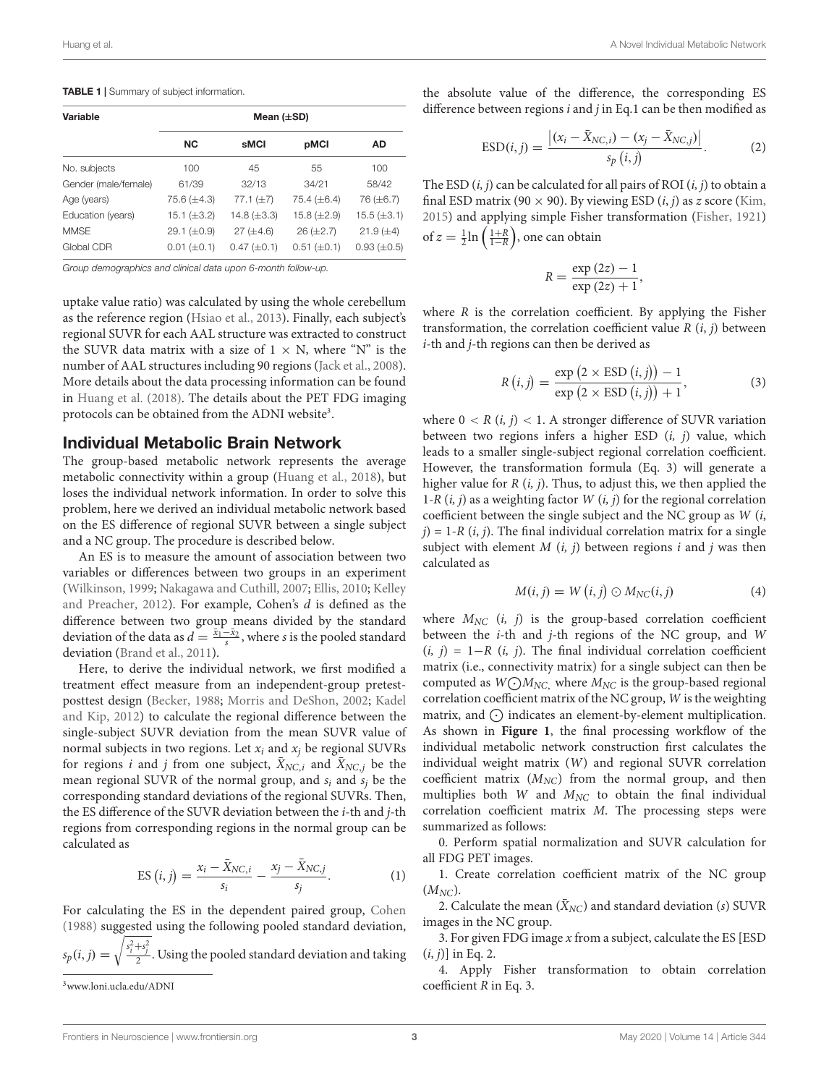#### <span id="page-2-0"></span>**TABLE 1** | Summary of subject information.

| Variable             | Mean $(\pm SD)$  |                  |                  |                    |
|----------------------|------------------|------------------|------------------|--------------------|
|                      | <b>NC</b>        | sMCI             | pMCI             | AD                 |
| No. subjects         | 100              | 45               | 55               | 100                |
| Gender (male/female) | 61/39            | 32/13            | 34/21            | 58/42              |
| Age (years)          | $75.6 (\pm 4.3)$ | $77.1 (\pm 7)$   | $75.4 (\pm 6.4)$ | 76 (±6.7)          |
| Education (years)    | 15.1 $(\pm 3.2)$ | 14.8 $(\pm 3.3)$ | $15.8 (\pm 2.9)$ | $15.5 (\pm 3.1)$   |
| <b>MMSE</b>          | 29.1 $(\pm 0.9)$ | $27 (\pm 4.6)$   | $26 (\pm 2.7)$   | $21.9 (\pm 4)$     |
| Global CDR           | $0.01 (\pm 0.1)$ | $0.47 (\pm 0.1)$ | $0.51 (\pm 0.1)$ | $0.93 \ (\pm 0.5)$ |

Group demographics and clinical data upon 6-month follow-up.

uptake value ratio) was calculated by using the whole cerebellum as the reference region [\(Hsiao et al.,](#page-9-19) [2013\)](#page-9-19). Finally, each subject's regional SUVR for each AAL structure was extracted to construct the SUVR data matrix with a size of  $1 \times N$ , where "N" is the number of AAL structures including 90 regions [\(Jack et al.,](#page-9-20) [2008\)](#page-9-20). More details about the data processing information can be found in [Huang et al.](#page-9-8) [\(2018\)](#page-9-8). The details about the PET FDG imaging protocols can be obtained from the ADNI website<sup>[3](#page-2-1)</sup>.

#### Individual Metabolic Brain Network

The group-based metabolic network represents the average metabolic connectivity within a group [\(Huang et al.,](#page-9-8) [2018\)](#page-9-8), but loses the individual network information. In order to solve this problem, here we derived an individual metabolic network based on the ES difference of regional SUVR between a single subject and a NC group. The procedure is described below.

An ES is to measure the amount of association between two variables or differences between two groups in an experiment [\(Wilkinson,](#page-9-21) [1999;](#page-9-21) [Nakagawa and Cuthill,](#page-9-22) [2007;](#page-9-22) [Ellis,](#page-8-2) [2010;](#page-8-2) [Kelley](#page-9-23) [and Preacher,](#page-9-23) [2012\)](#page-9-23). For example, Cohen's d is defined as the difference between two group means divided by the standard deviation of the data as  $d = \frac{\bar{x}_1 - \bar{x}_2}{s}$ , where s is the pooled standard deviation [\(Brand et al.,](#page-8-3) [2011\)](#page-8-3).

Here, to derive the individual network, we first modified a treatment effect measure from an independent-group pretestposttest design [\(Becker,](#page-8-4) [1988;](#page-8-4) [Morris and DeShon,](#page-9-24) [2002;](#page-9-24) [Kadel](#page-9-25) [and Kip,](#page-9-25) [2012\)](#page-9-25) to calculate the regional difference between the single-subject SUVR deviation from the mean SUVR value of normal subjects in two regions. Let  $x_i$  and  $x_j$  be regional SUVRs for regions *i* and *j* from one subject,  $\bar{X}_{NC,i}$  and  $\bar{X}_{NC,i}$  be the mean regional SUVR of the normal group, and  $s_i$  and  $s_j$  be the corresponding standard deviations of the regional SUVRs. Then, the ES difference of the SUVR deviation between the i-th and j-th regions from corresponding regions in the normal group can be calculated as

ES 
$$
(i, j)
$$
 =  $\frac{x_i - \bar{X}_{NC,i}}{s_i} - \frac{x_j - \bar{X}_{NC,j}}{s_j}$ . (1)

For calculating the ES in the dependent paired group, [Cohen](#page-8-5) [\(1988\)](#page-8-5) suggested using the following pooled standard deviation,  $\sqrt{s_i^2+s_j^2}$ 

$$
s_p(i, j) = \sqrt{\frac{s_i + s_j}{2}}
$$
. Using the pooled standard deviation and taking

the absolute value of the difference, the corresponding ES difference between regions  $i$  and  $j$  in Eq.1 can be then modified as

$$
ESD(i, j) = \frac{|(x_i - \bar{X}_{NC,i}) - (x_j - \bar{X}_{NC,j})|}{s_p(i, j)}.
$$
 (2)

The ESD  $(i, j)$  can be calculated for all pairs of ROI  $(i, j)$  to obtain a final ESD matrix (90  $\times$  90). By viewing ESD (*i*, *j*) as *z* score [\(Kim,](#page-9-26) [2015\)](#page-9-26) and applying simple Fisher transformation [\(Fisher,](#page-8-6) [1921\)](#page-8-6) of  $z = \frac{1}{2} \ln \left( \frac{1+R}{1-R} \right)$ , one can obtain

$$
R = \frac{\exp{(2z)} - 1}{\exp{(2z)} + 1},
$$

where  $R$  is the correlation coefficient. By applying the Fisher transformation, the correlation coefficient value  $R(i, j)$  between i-th and j-th regions can then be derived as

$$
R(i,j) = \frac{\exp(2 \times \text{ESD}(i,j)) - 1}{\exp(2 \times \text{ESD}(i,j)) + 1},
$$
\n(3)

where  $0 < R$  (*i*, *j*) < 1. A stronger difference of SUVR variation between two regions infers a higher ESD  $(i, j)$  value, which leads to a smaller single-subject regional correlation coefficient. However, the transformation formula (Eq. 3) will generate a higher value for  $R(i, j)$ . Thus, to adjust this, we then applied the 1-R  $(i, j)$  as a weighting factor  $W(i, j)$  for the regional correlation coefficient between the single subject and the NC group as  $W(i,$  $j$ ) = 1-R (*i*, *j*). The final individual correlation matrix for a single subject with element  $M(i, j)$  between regions i and j was then calculated as

$$
M(i,j) = W(i,j) \odot M_{NC}(i,j) \tag{4}
$$

where  $M_{NC}$  (i, j) is the group-based correlation coefficient between the  $i$ -th and  $j$ -th regions of the NC group, and W  $(i, j) = 1-R$   $(i, j)$ . The final individual correlation coefficient matrix (i.e., connectivity matrix) for a single subject can then be computed as  $W\text{-}M_{\text{NC}}$ , where  $M_{\text{NC}}$  is the group-based regional correlation coefficient matrix of the NC group, W is the weighting matrix, and  $\odot$  indicates an element-by-element multiplication. As shown in **[Figure 1](#page-3-0)**, the final processing workflow of the individual metabolic network construction first calculates the individual weight matrix (W) and regional SUVR correlation coefficient matrix  $(M_{NC})$  from the normal group, and then multiplies both  $W$  and  $M_{NC}$  to obtain the final individual correlation coefficient matrix M. The processing steps were summarized as follows:

0. Perform spatial normalization and SUVR calculation for all FDG PET images.

1. Create correlation coefficient matrix of the NC group  $(M_{NC})$ .

2. Calculate the mean  $(\bar{X}_{NC})$  and standard deviation (s) SUVR images in the NC group.

3. For given FDG image  $x$  from a subject, calculate the ES [ESD]  $(i, j)$ ] in Eq. 2.

4. Apply Fisher transformation to obtain correlation coefficient R in Eq. 3.

<span id="page-2-1"></span><sup>3</sup>[www.loni.ucla.edu/ADNI](http://www.loni.ucla.edu/ADNI)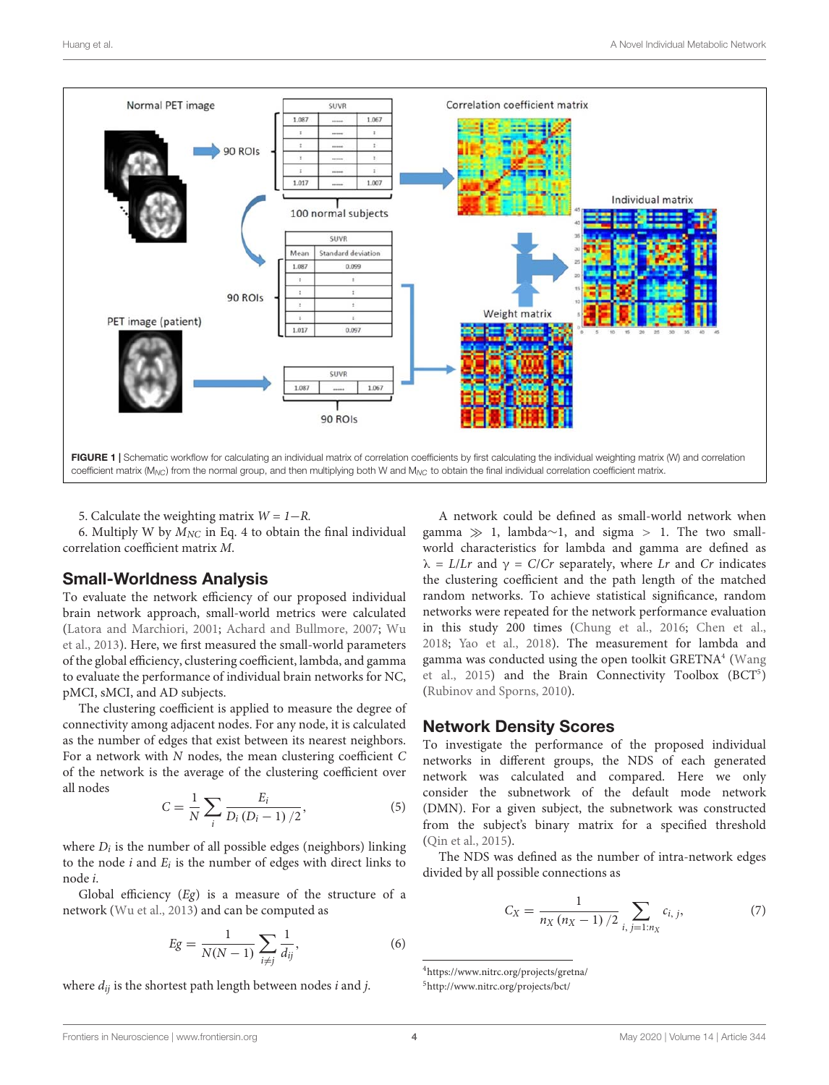

<span id="page-3-0"></span>5. Calculate the weighting matrix  $W = 1 - R$ .

6. Multiply W by  $M_{NC}$  in Eq. 4 to obtain the final individual correlation coefficient matrix M.

#### Small-Worldness Analysis

To evaluate the network efficiency of our proposed individual brain network approach, small-world metrics were calculated [\(Latora and Marchiori,](#page-9-27) [2001;](#page-9-27) [Achard and Bullmore,](#page-8-7) [2007;](#page-8-7) [Wu](#page-9-28) [et al.,](#page-9-28) [2013\)](#page-9-28). Here, we first measured the small-world parameters of the global efficiency, clustering coefficient, lambda, and gamma to evaluate the performance of individual brain networks for NC, pMCI, sMCI, and AD subjects.

The clustering coefficient is applied to measure the degree of connectivity among adjacent nodes. For any node, it is calculated as the number of edges that exist between its nearest neighbors. For a network with N nodes, the mean clustering coefficient C of the network is the average of the clustering coefficient over all nodes

$$
C = \frac{1}{N} \sum_{i} \frac{E_i}{D_i (D_i - 1) / 2},
$$
\n(5)

where  $D_i$  is the number of all possible edges (neighbors) linking to the node  $i$  and  $E_i$  is the number of edges with direct links to node i.

Global efficiency  $(Eg)$  is a measure of the structure of a network [\(Wu et al.,](#page-9-28) [2013\)](#page-9-28) and can be computed as

$$
Eg = \frac{1}{N(N-1)} \sum_{i \neq j} \frac{1}{d_{ij}},
$$
\n(6)

where  $d_{ij}$  is the shortest path length between nodes i and j.

A network could be defined as small-world network when gamma  $\gg$  1, lambda∼1, and sigma > 1. The two smallworld characteristics for lambda and gamma are defined as  $\lambda = L/Lr$  and  $\gamma = C/Cr$  separately, where Lr and Cr indicates the clustering coefficient and the path length of the matched random networks. To achieve statistical significance, random networks were repeated for the network performance evaluation in this study 200 times [\(Chung et al.,](#page-8-8) [2016;](#page-8-8) [Chen et al.,](#page-8-9) [2018;](#page-8-9) [Yao et al.,](#page-9-29) [2018\)](#page-9-29). The measurement for lambda and gamma was conducted using the open toolkit GRETNA<sup>[4](#page-3-1)</sup> [\(Wang](#page-9-30) [et al.,](#page-9-30) [2015\)](#page-9-30) and the Brain Connectivity Toolbox (BCT<sup>[5](#page-3-2)</sup>) [\(Rubinov and Sporns,](#page-9-31) [2010\)](#page-9-31).

#### Network Density Scores

To investigate the performance of the proposed individual networks in different groups, the NDS of each generated network was calculated and compared. Here we only consider the subnetwork of the default mode network (DMN). For a given subject, the subnetwork was constructed from the subject's binary matrix for a specified threshold [\(Qin et al.,](#page-9-32) [2015\)](#page-9-32).

The NDS was defined as the number of intra-network edges divided by all possible connections as

$$
C_X = \frac{1}{n_X (n_X - 1)/2} \sum_{i, j=1:n_X} c_{i, j}, \tag{7}
$$

<span id="page-3-1"></span><sup>4</sup><https://www.nitrc.org/projects/gretna/>

<span id="page-3-2"></span><sup>5</sup><http://www.nitrc.org/projects/bct/>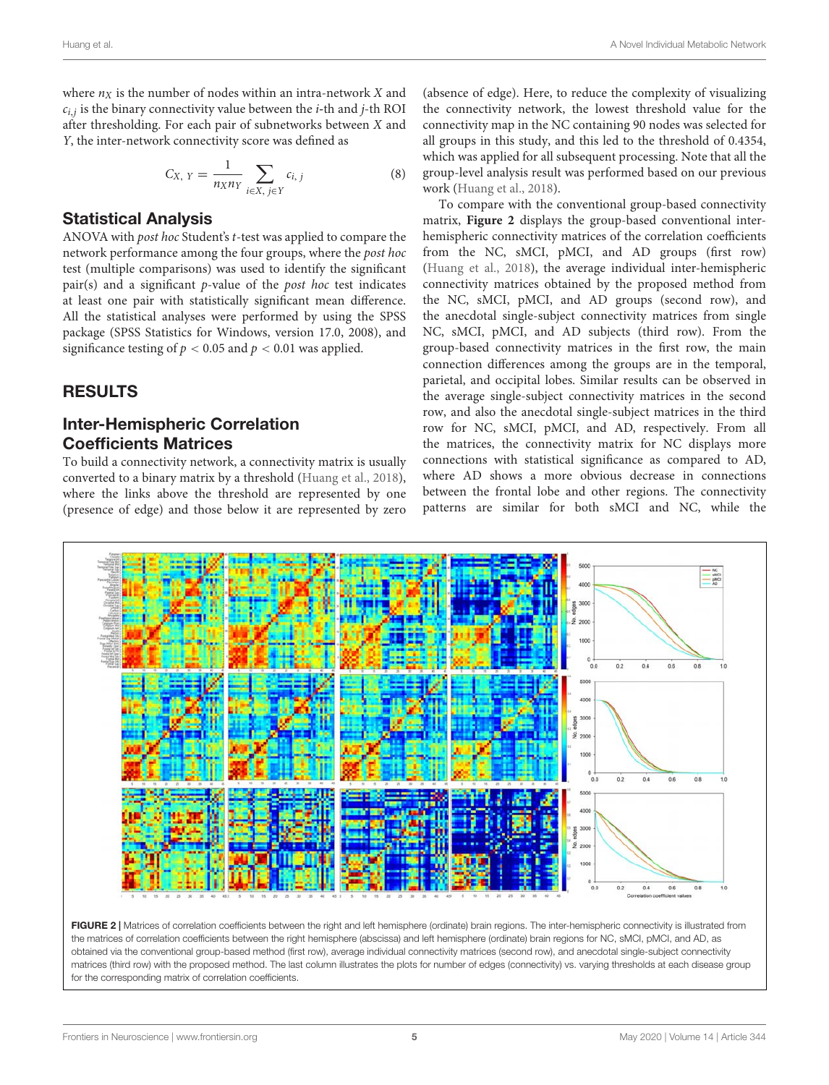where  $n<sub>X</sub>$  is the number of nodes within an intra-network X and ci,j is the binary connectivity value between the i**-**th and j-th ROI after thresholding. For each pair of subnetworks between X and Y, the inter-network connectivity score was defined as

$$
C_{X, Y} = \frac{1}{n_{X} n_{Y}} \sum_{i \in X, j \in Y} c_{i, j}
$$
 (8)

#### Statistical Analysis

ANOVA with post hoc Student's t-test was applied to compare the network performance among the four groups, where the post hoc test (multiple comparisons) was used to identify the significant  $pair(s)$  and a significant  $p$ -value of the *post hoc* test indicates at least one pair with statistically significant mean difference. All the statistical analyses were performed by using the SPSS package (SPSS Statistics for Windows, version 17.0, 2008), and significance testing of  $p < 0.05$  and  $p < 0.01$  was applied.

#### RESULTS

### Inter-Hemispheric Correlation Coefficients Matrices

To build a connectivity network, a connectivity matrix is usually converted to a binary matrix by a threshold [\(Huang et al.,](#page-9-8) [2018\)](#page-9-8), where the links above the threshold are represented by one (presence of edge) and those below it are represented by zero

(absence of edge). Here, to reduce the complexity of visualizing the connectivity network, the lowest threshold value for the connectivity map in the NC containing 90 nodes was selected for all groups in this study, and this led to the threshold of 0.4354, which was applied for all subsequent processing. Note that all the group-level analysis result was performed based on our previous work [\(Huang et al.,](#page-9-8) [2018\)](#page-9-8).

To compare with the conventional group-based connectivity matrix, **[Figure 2](#page-4-0)** displays the group-based conventional interhemispheric connectivity matrices of the correlation coefficients from the NC, sMCI, pMCI, and AD groups (first row) [\(Huang et al.,](#page-9-8) [2018\)](#page-9-8), the average individual inter-hemispheric connectivity matrices obtained by the proposed method from the NC, sMCI, pMCI, and AD groups (second row), and the anecdotal single-subject connectivity matrices from single NC, sMCI, pMCI, and AD subjects (third row). From the group-based connectivity matrices in the first row, the main connection differences among the groups are in the temporal, parietal, and occipital lobes. Similar results can be observed in the average single-subject connectivity matrices in the second row, and also the anecdotal single-subject matrices in the third row for NC, sMCI, pMCI, and AD, respectively. From all the matrices, the connectivity matrix for NC displays more connections with statistical significance as compared to AD, where AD shows a more obvious decrease in connections between the frontal lobe and other regions. The connectivity patterns are similar for both sMCI and NC, while the



<span id="page-4-0"></span>FIGURE 2 | Matrices of correlation coefficients between the right and left hemisphere (ordinate) brain regions. The inter-hemispheric connectivity is illustrated from the matrices of correlation coefficients between the right hemisphere (abscissa) and left hemisphere (ordinate) brain regions for NC, sMCI, pMCI, and AD, as obtained via the conventional group-based method (first row), average individual connectivity matrices (second row), and anecdotal single-subject connectivity matrices (third row) with the proposed method. The last column illustrates the plots for number of edges (connectivity) vs. varying thresholds at each disease group for the corresponding matrix of correlation coefficients.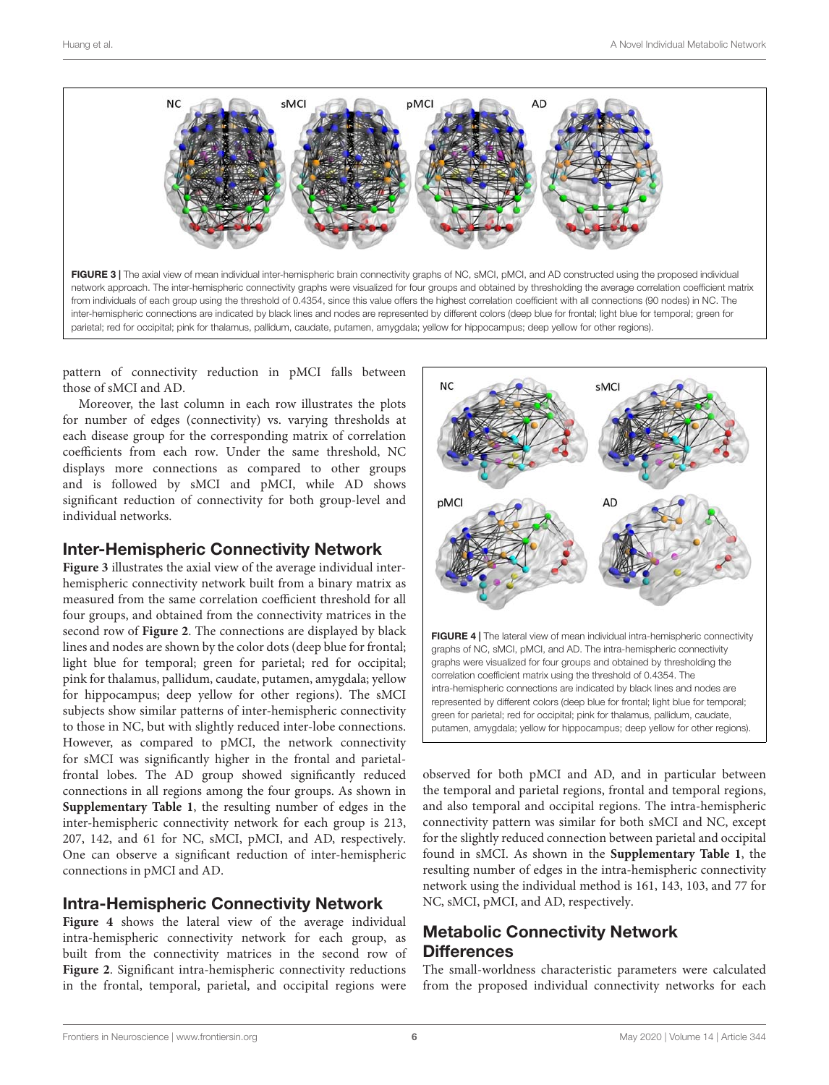

<span id="page-5-0"></span>network approach. The inter-hemispheric connectivity graphs were visualized for four groups and obtained by thresholding the average correlation coefficient matrix from individuals of each group using the threshold of 0.4354, since this value offers the highest correlation coefficient with all connections (90 nodes) in NC. The inter-hemispheric connections are indicated by black lines and nodes are represented by different colors (deep blue for frontal; light blue for temporal; green for parietal; red for occipital; pink for thalamus, pallidum, caudate, putamen, amygdala; yellow for hippocampus; deep yellow for other regions).

pattern of connectivity reduction in pMCI falls between those of sMCI and AD.

Moreover, the last column in each row illustrates the plots for number of edges (connectivity) vs. varying thresholds at each disease group for the corresponding matrix of correlation coefficients from each row. Under the same threshold, NC displays more connections as compared to other groups and is followed by sMCI and pMCI, while AD shows significant reduction of connectivity for both group-level and individual networks.

# Inter-Hemispheric Connectivity Network

**[Figure 3](#page-5-0)** illustrates the axial view of the average individual interhemispheric connectivity network built from a binary matrix as measured from the same correlation coefficient threshold for all four groups, and obtained from the connectivity matrices in the second row of **[Figure 2](#page-4-0)**. The connections are displayed by black lines and nodes are shown by the color dots (deep blue for frontal; light blue for temporal; green for parietal; red for occipital; pink for thalamus, pallidum, caudate, putamen, amygdala; yellow for hippocampus; deep yellow for other regions). The sMCI subjects show similar patterns of inter-hemispheric connectivity to those in NC, but with slightly reduced inter-lobe connections. However, as compared to pMCI, the network connectivity for sMCI was significantly higher in the frontal and parietalfrontal lobes. The AD group showed significantly reduced connections in all regions among the four groups. As shown in **[Supplementary Table 1](#page-8-10)**, the resulting number of edges in the inter-hemispheric connectivity network for each group is 213, 207, 142, and 61 for NC, sMCI, pMCI, and AD, respectively. One can observe a significant reduction of inter-hemispheric connections in pMCI and AD.

# Intra-Hemispheric Connectivity Network

**[Figure 4](#page-5-1)** shows the lateral view of the average individual intra-hemispheric connectivity network for each group, as built from the connectivity matrices in the second row of **[Figure 2](#page-4-0)**. Significant intra-hemispheric connectivity reductions in the frontal, temporal, parietal, and occipital regions were



<span id="page-5-1"></span>observed for both pMCI and AD, and in particular between the temporal and parietal regions, frontal and temporal regions, and also temporal and occipital regions. The intra-hemispheric connectivity pattern was similar for both sMCI and NC, except for the slightly reduced connection between parietal and occipital found in sMCI. As shown in the **[Supplementary Table 1](#page-8-10)**, the resulting number of edges in the intra-hemispheric connectivity network using the individual method is 161, 143, 103, and 77 for NC, sMCI, pMCI, and AD, respectively.

# Metabolic Connectivity Network **Differences**

The small-worldness characteristic parameters were calculated from the proposed individual connectivity networks for each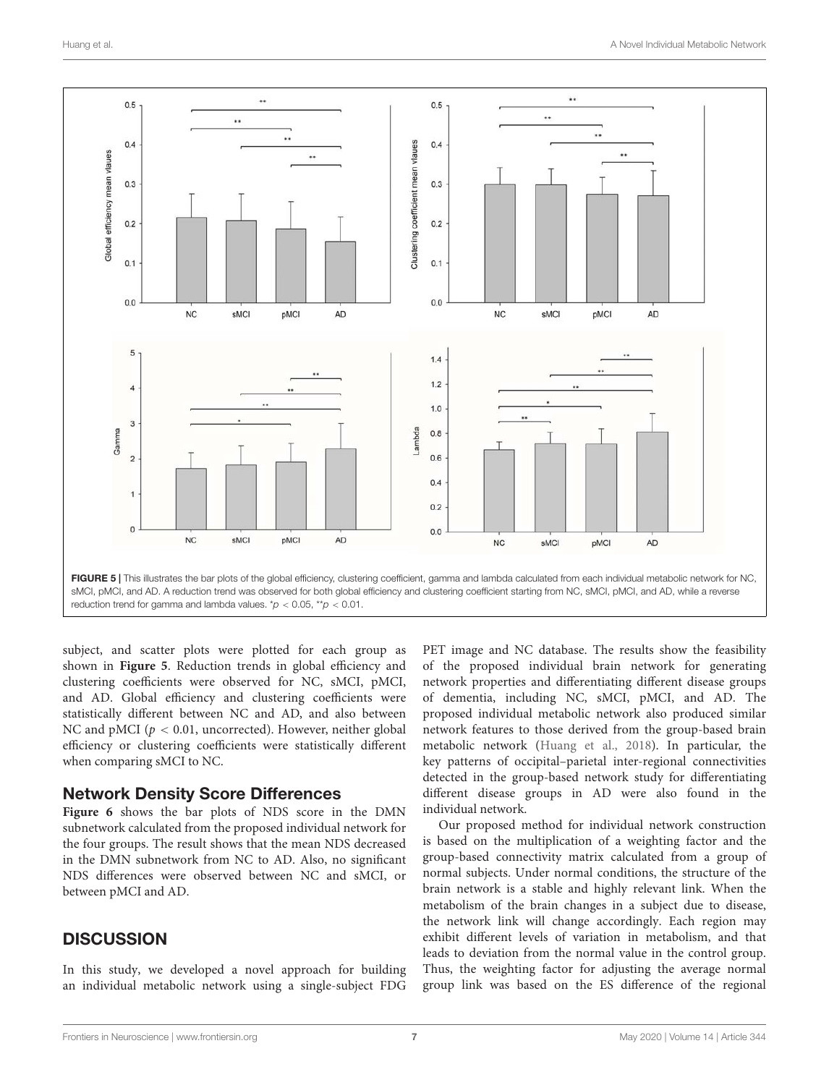

<span id="page-6-0"></span>subject, and scatter plots were plotted for each group as shown in **[Figure 5](#page-6-0)**. Reduction trends in global efficiency and clustering coefficients were observed for NC, sMCI, pMCI, and AD. Global efficiency and clustering coefficients were statistically different between NC and AD, and also between NC and pMCI ( $p < 0.01$ , uncorrected). However, neither global efficiency or clustering coefficients were statistically different when comparing sMCI to NC.

#### Network Density Score Differences

**[Figure 6](#page-7-0)** shows the bar plots of NDS score in the DMN subnetwork calculated from the proposed individual network for the four groups. The result shows that the mean NDS decreased in the DMN subnetwork from NC to AD. Also, no significant NDS differences were observed between NC and sMCI, or between pMCI and AD.

### **DISCUSSION**

In this study, we developed a novel approach for building an individual metabolic network using a single-subject FDG PET image and NC database. The results show the feasibility of the proposed individual brain network for generating network properties and differentiating different disease groups of dementia, including NC, sMCI, pMCI, and AD. The proposed individual metabolic network also produced similar network features to those derived from the group-based brain metabolic network [\(Huang et al.,](#page-9-8) [2018\)](#page-9-8). In particular, the key patterns of occipital–parietal inter-regional connectivities detected in the group-based network study for differentiating different disease groups in AD were also found in the individual network.

Our proposed method for individual network construction is based on the multiplication of a weighting factor and the group-based connectivity matrix calculated from a group of normal subjects. Under normal conditions, the structure of the brain network is a stable and highly relevant link. When the metabolism of the brain changes in a subject due to disease, the network link will change accordingly. Each region may exhibit different levels of variation in metabolism, and that leads to deviation from the normal value in the control group. Thus, the weighting factor for adjusting the average normal group link was based on the ES difference of the regional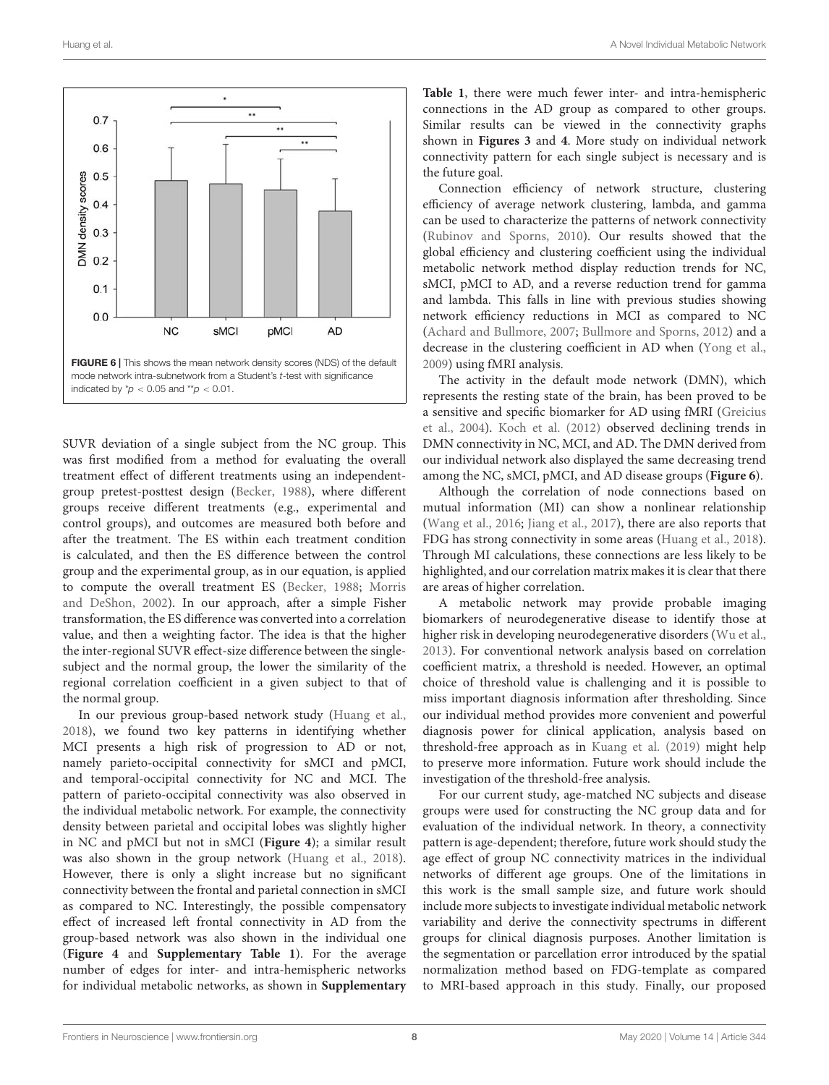

<span id="page-7-0"></span>SUVR deviation of a single subject from the NC group. This was first modified from a method for evaluating the overall treatment effect of different treatments using an independentgroup pretest-posttest design [\(Becker,](#page-8-4) [1988\)](#page-8-4), where different groups receive different treatments (e.g., experimental and control groups), and outcomes are measured both before and after the treatment. The ES within each treatment condition is calculated, and then the ES difference between the control group and the experimental group, as in our equation, is applied to compute the overall treatment ES [\(Becker,](#page-8-4) [1988;](#page-8-4) [Morris](#page-9-24) [and DeShon,](#page-9-24) [2002\)](#page-9-24). In our approach, after a simple Fisher transformation, the ES difference was converted into a correlation value, and then a weighting factor. The idea is that the higher the inter-regional SUVR effect-size difference between the singlesubject and the normal group, the lower the similarity of the regional correlation coefficient in a given subject to that of the normal group.

In our previous group-based network study [\(Huang et al.,](#page-9-8) [2018\)](#page-9-8), we found two key patterns in identifying whether MCI presents a high risk of progression to AD or not, namely parieto-occipital connectivity for sMCI and pMCI, and temporal-occipital connectivity for NC and MCI. The pattern of parieto-occipital connectivity was also observed in the individual metabolic network. For example, the connectivity density between parietal and occipital lobes was slightly higher in NC and pMCI but not in sMCI (**[Figure 4](#page-5-1)**); a similar result was also shown in the group network [\(Huang et al.,](#page-9-8) [2018\)](#page-9-8). However, there is only a slight increase but no significant connectivity between the frontal and parietal connection in sMCI as compared to NC. Interestingly, the possible compensatory effect of increased left frontal connectivity in AD from the group-based network was also shown in the individual one (**[Figure 4](#page-5-1)** and **[Supplementary Table 1](#page-8-10)**). For the average number of edges for inter- and intra-hemispheric networks for individual metabolic networks, as shown in **[Supplementary](#page-8-10)** **[Table 1](#page-8-10)**, there were much fewer inter- and intra-hemispheric connections in the AD group as compared to other groups. Similar results can be viewed in the connectivity graphs shown in **[Figures 3](#page-5-0)** and **[4](#page-5-1)**. More study on individual network connectivity pattern for each single subject is necessary and is the future goal.

Connection efficiency of network structure, clustering efficiency of average network clustering, lambda, and gamma can be used to characterize the patterns of network connectivity [\(Rubinov and Sporns,](#page-9-31) [2010\)](#page-9-31). Our results showed that the global efficiency and clustering coefficient using the individual metabolic network method display reduction trends for NC, sMCI, pMCI to AD, and a reverse reduction trend for gamma and lambda. This falls in line with previous studies showing network efficiency reductions in MCI as compared to NC [\(Achard and Bullmore,](#page-8-7) [2007;](#page-8-7) [Bullmore and Sporns,](#page-8-11) [2012\)](#page-8-11) and a decrease in the clustering coefficient in AD when [\(Yong et al.,](#page-10-2) [2009\)](#page-10-2) using fMRI analysis.

The activity in the default mode network (DMN), which represents the resting state of the brain, has been proved to be a sensitive and specific biomarker for AD using fMRI [\(Greicius](#page-9-33) [et al.,](#page-9-33) [2004\)](#page-9-33). [Koch et al.](#page-9-34) [\(2012\)](#page-9-34) observed declining trends in DMN connectivity in NC, MCI, and AD. The DMN derived from our individual network also displayed the same decreasing trend among the NC, sMCI, pMCI, and AD disease groups (**[Figure 6](#page-7-0)**).

Although the correlation of node connections based on mutual information (MI) can show a nonlinear relationship [\(Wang et al.,](#page-9-35) [2016;](#page-9-35) [Jiang et al.,](#page-9-36) [2017\)](#page-9-36), there are also reports that FDG has strong connectivity in some areas [\(Huang et al.,](#page-9-8) [2018\)](#page-9-8). Through MI calculations, these connections are less likely to be highlighted, and our correlation matrix makes it is clear that there are areas of higher correlation.

A metabolic network may provide probable imaging biomarkers of neurodegenerative disease to identify those at higher risk in developing neurodegenerative disorders [\(Wu et al.,](#page-9-28) [2013\)](#page-9-28). For conventional network analysis based on correlation coefficient matrix, a threshold is needed. However, an optimal choice of threshold value is challenging and it is possible to miss important diagnosis information after thresholding. Since our individual method provides more convenient and powerful diagnosis power for clinical application, analysis based on threshold-free approach as in [Kuang et al.](#page-9-3) [\(2019\)](#page-9-3) might help to preserve more information. Future work should include the investigation of the threshold-free analysis.

For our current study, age-matched NC subjects and disease groups were used for constructing the NC group data and for evaluation of the individual network. In theory, a connectivity pattern is age-dependent; therefore, future work should study the age effect of group NC connectivity matrices in the individual networks of different age groups. One of the limitations in this work is the small sample size, and future work should include more subjects to investigate individual metabolic network variability and derive the connectivity spectrums in different groups for clinical diagnosis purposes. Another limitation is the segmentation or parcellation error introduced by the spatial normalization method based on FDG-template as compared to MRI-based approach in this study. Finally, our proposed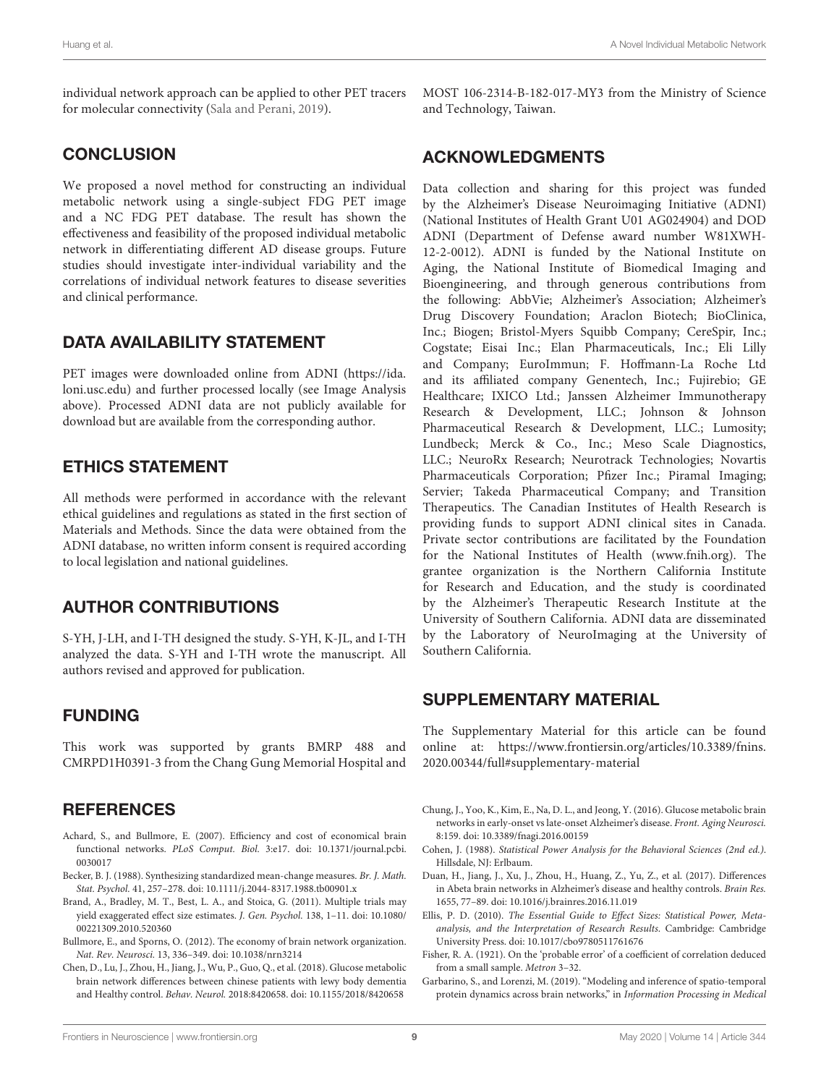individual network approach can be applied to other PET tracers for molecular connectivity [\(Sala and Perani,](#page-9-37) [2019\)](#page-9-37).

# **CONCLUSION**

We proposed a novel method for constructing an individual metabolic network using a single-subject FDG PET image and a NC FDG PET database. The result has shown the effectiveness and feasibility of the proposed individual metabolic network in differentiating different AD disease groups. Future studies should investigate inter-individual variability and the correlations of individual network features to disease severities and clinical performance.

# DATA AVAILABILITY STATEMENT

PET images were downloaded online from ADNI [\(https://ida.](https://ida.loni.usc.edu) [loni.usc.edu\)](https://ida.loni.usc.edu) and further processed locally (see Image Analysis above). Processed ADNI data are not publicly available for download but are available from the corresponding author.

# ETHICS STATEMENT

All methods were performed in accordance with the relevant ethical guidelines and regulations as stated in the first section of Materials and Methods. Since the data were obtained from the ADNI database, no written inform consent is required according to local legislation and national guidelines.

# AUTHOR CONTRIBUTIONS

S-YH, J-LH, and I-TH designed the study. S-YH, K-JL, and I-TH analyzed the data. S-YH and I-TH wrote the manuscript. All authors revised and approved for publication.

# FUNDING

This work was supported by grants BMRP 488 and CMRPD1H0391-3 from the Chang Gung Memorial Hospital and

# **REFERENCES**

- <span id="page-8-7"></span>Achard, S., and Bullmore, E. (2007). Efficiency and cost of economical brain functional networks. PLoS Comput. Biol. 3:e17. [doi: 10.1371/journal.pcbi.](https://doi.org/10.1371/journal.pcbi.0030017) [0030017](https://doi.org/10.1371/journal.pcbi.0030017)
- <span id="page-8-4"></span>Becker, B. J. (1988). Synthesizing standardized mean-change measures. Br. J. Math. Stat. Psychol. 41, 257–278. [doi: 10.1111/j.2044-8317.1988.tb00901.x](https://doi.org/10.1111/j.2044-8317.1988.tb00901.x)
- <span id="page-8-3"></span>Brand, A., Bradley, M. T., Best, L. A., and Stoica, G. (2011). Multiple trials may yield exaggerated effect size estimates. J. Gen. Psychol. 138, 1–11. [doi: 10.1080/](https://doi.org/10.1080/00221309.2010.520360) [00221309.2010.520360](https://doi.org/10.1080/00221309.2010.520360)
- <span id="page-8-11"></span>Bullmore, E., and Sporns, O. (2012). The economy of brain network organization. Nat. Rev. Neurosci. 13, 336–349. [doi: 10.1038/nrn3214](https://doi.org/10.1038/nrn3214)
- <span id="page-8-9"></span>Chen, D., Lu, J., Zhou, H., Jiang, J., Wu, P., Guo, Q., et al. (2018). Glucose metabolic brain network differences between chinese patients with lewy body dementia and Healthy control. Behav. Neurol. 2018:8420658. [doi: 10.1155/2018/8420658](https://doi.org/10.1155/2018/8420658)

MOST 106-2314-B-182-017-MY3 from the Ministry of Science and Technology, Taiwan.

# ACKNOWLEDGMENTS

Data collection and sharing for this project was funded by the Alzheimer's Disease Neuroimaging Initiative (ADNI) (National Institutes of Health Grant U01 AG024904) and DOD ADNI (Department of Defense award number W81XWH-12-2-0012). ADNI is funded by the National Institute on Aging, the National Institute of Biomedical Imaging and Bioengineering, and through generous contributions from the following: AbbVie; Alzheimer's Association; Alzheimer's Drug Discovery Foundation; Araclon Biotech; BioClinica, Inc.; Biogen; Bristol-Myers Squibb Company; CereSpir, Inc.; Cogstate; Eisai Inc.; Elan Pharmaceuticals, Inc.; Eli Lilly and Company; EuroImmun; F. Hoffmann-La Roche Ltd and its affiliated company Genentech, Inc.; Fujirebio; GE Healthcare; IXICO Ltd.; Janssen Alzheimer Immunotherapy Research & Development, LLC.; Johnson & Johnson Pharmaceutical Research & Development, LLC.; Lumosity; Lundbeck; Merck & Co., Inc.; Meso Scale Diagnostics, LLC.; NeuroRx Research; Neurotrack Technologies; Novartis Pharmaceuticals Corporation; Pfizer Inc.; Piramal Imaging; Servier; Takeda Pharmaceutical Company; and Transition Therapeutics. The Canadian Institutes of Health Research is providing funds to support ADNI clinical sites in Canada. Private sector contributions are facilitated by the Foundation for the National Institutes of Health [\(www.fnih.org\)](www.fnih.org). The grantee organization is the Northern California Institute for Research and Education, and the study is coordinated by the Alzheimer's Therapeutic Research Institute at the University of Southern California. ADNI data are disseminated by the Laboratory of NeuroImaging at the University of Southern California.

### <span id="page-8-10"></span>SUPPLEMENTARY MATERIAL

The Supplementary Material for this article can be found online at: [https://www.frontiersin.org/articles/10.3389/fnins.](https://www.frontiersin.org/articles/10.3389/fnins.2020.00344/full#supplementary-material) [2020.00344/full#supplementary-material](https://www.frontiersin.org/articles/10.3389/fnins.2020.00344/full#supplementary-material)

- <span id="page-8-8"></span>Chung, J., Yoo, K., Kim, E., Na, D. L., and Jeong, Y. (2016). Glucose metabolic brain networks in early-onset vs late-onset Alzheimer's disease. Front. Aging Neurosci. 8:159. [doi: 10.3389/fnagi.2016.00159](https://doi.org/10.3389/fnagi.2016.00159)
- <span id="page-8-5"></span>Cohen, J. (1988). Statistical Power Analysis for the Behavioral Sciences (2nd ed.). Hillsdale, NJ: Erlbaum.
- <span id="page-8-1"></span>Duan, H., Jiang, J., Xu, J., Zhou, H., Huang, Z., Yu, Z., et al. (2017). Differences in Abeta brain networks in Alzheimer's disease and healthy controls. Brain Res. 1655, 77–89. [doi: 10.1016/j.brainres.2016.11.019](https://doi.org/10.1016/j.brainres.2016.11.019)
- <span id="page-8-2"></span>Ellis, P. D. (2010). The Essential Guide to Effect Sizes: Statistical Power, Metaanalysis, and the Interpretation of Research Results. Cambridge: Cambridge University Press. [doi: 10.1017/cbo9780511761676](https://doi.org/10.1017/cbo9780511761676)
- <span id="page-8-6"></span>Fisher, R. A. (1921). On the 'probable error' of a coefficient of correlation deduced from a small sample. Metron 3–32.
- <span id="page-8-0"></span>Garbarino, S., and Lorenzi, M. (2019). "Modeling and inference of spatio-temporal protein dynamics across brain networks," in Information Processing in Medical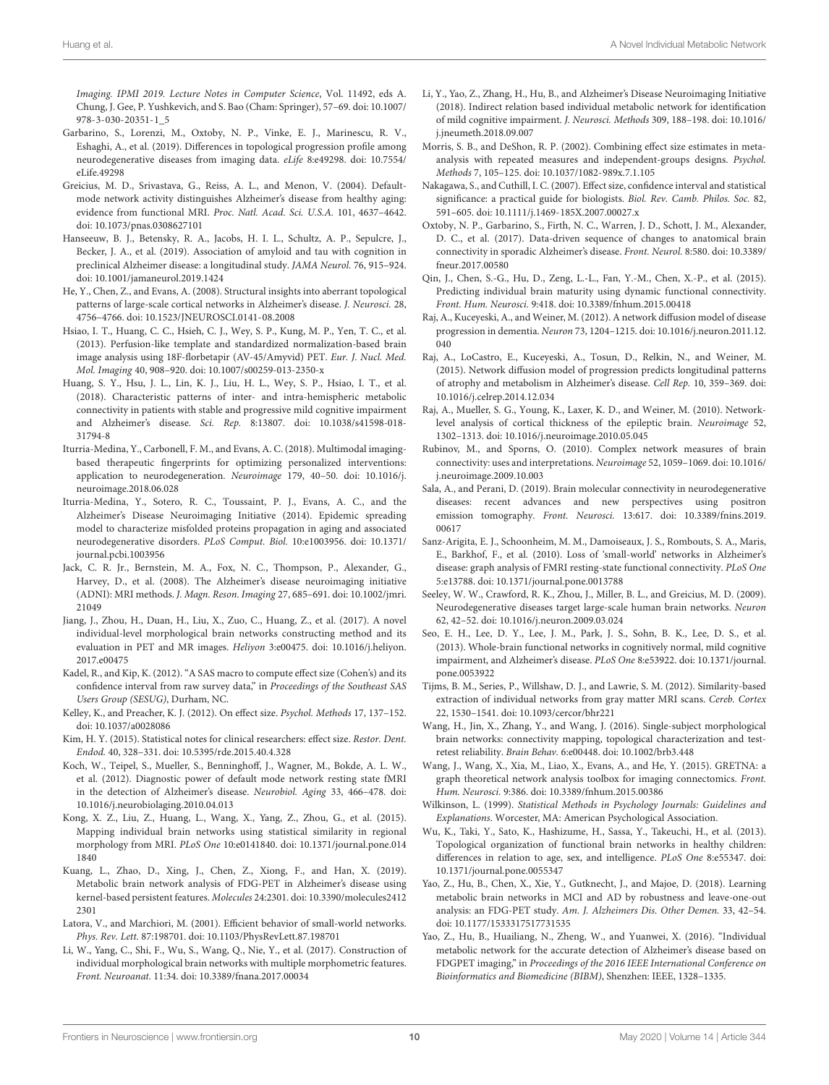Imaging. IPMI 2019. Lecture Notes in Computer Science, Vol. 11492, eds A. Chung, J. Gee, P. Yushkevich, and S. Bao (Cham: Springer), 57–69. [doi: 10.1007/](https://doi.org/10.1007/978-3-030-20351-1_5) [978-3-030-20351-1\\_5](https://doi.org/10.1007/978-3-030-20351-1_5)

- <span id="page-9-5"></span>Garbarino, S., Lorenzi, M., Oxtoby, N. P., Vinke, E. J., Marinescu, R. V., Eshaghi, A., et al. (2019). Differences in topological progression profile among neurodegenerative diseases from imaging data. eLife 8:e49298. [doi: 10.7554/](https://doi.org/10.7554/eLife.49298) [eLife.49298](https://doi.org/10.7554/eLife.49298)
- <span id="page-9-33"></span>Greicius, M. D., Srivastava, G., Reiss, A. L., and Menon, V. (2004). Defaultmode network activity distinguishes Alzheimer's disease from healthy aging: evidence from functional MRI. Proc. Natl. Acad. Sci. U.S.A. 101, 4637–4642. [doi: 10.1073/pnas.0308627101](https://doi.org/10.1073/pnas.0308627101)
- <span id="page-9-2"></span>Hanseeuw, B. J., Betensky, R. A., Jacobs, H. I. L., Schultz, A. P., Sepulcre, J., Becker, J. A., et al. (2019). Association of amyloid and tau with cognition in preclinical Alzheimer disease: a longitudinal study. JAMA Neurol. 76, 915–924. [doi: 10.1001/jamaneurol.2019.1424](https://doi.org/10.1001/jamaneurol.2019.1424)
- <span id="page-9-9"></span>He, Y., Chen, Z., and Evans, A. (2008). Structural insights into aberrant topological patterns of large-scale cortical networks in Alzheimer's disease. J. Neurosci. 28, 4756–4766. [doi: 10.1523/JNEUROSCI.0141-08.2008](https://doi.org/10.1523/JNEUROSCI.0141-08.2008)
- <span id="page-9-19"></span>Hsiao, I. T., Huang, C. C., Hsieh, C. J., Wey, S. P., Kung, M. P., Yen, T. C., et al. (2013). Perfusion-like template and standardized normalization-based brain image analysis using 18F-florbetapir (AV-45/Amyvid) PET. Eur. J. Nucl. Med. Mol. Imaging 40, 908–920. [doi: 10.1007/s00259-013-2350-x](https://doi.org/10.1007/s00259-013-2350-x)
- <span id="page-9-8"></span>Huang, S. Y., Hsu, J. L., Lin, K. J., Liu, H. L., Wey, S. P., Hsiao, I. T., et al. (2018). Characteristic patterns of inter- and intra-hemispheric metabolic connectivity in patients with stable and progressive mild cognitive impairment and Alzheimer's disease. Sci. Rep. 8:13807. [doi: 10.1038/s41598-018-](https://doi.org/10.1038/s41598-018-31794-8) [31794-8](https://doi.org/10.1038/s41598-018-31794-8)
- <span id="page-9-17"></span>Iturria-Medina, Y., Carbonell, F. M., and Evans, A. C. (2018). Multimodal imagingbased therapeutic fingerprints for optimizing personalized interventions: application to neurodegeneration. Neuroimage 179, 40–50. [doi: 10.1016/j.](https://doi.org/10.1016/j.neuroimage.2018.06.028) [neuroimage.2018.06.028](https://doi.org/10.1016/j.neuroimage.2018.06.028)
- <span id="page-9-0"></span>Iturria-Medina, Y., Sotero, R. C., Toussaint, P. J., Evans, A. C., and the Alzheimer's Disease Neuroimaging Initiative (2014). Epidemic spreading model to characterize misfolded proteins propagation in aging and associated neurodegenerative disorders. PLoS Comput. Biol. 10:e1003956. [doi: 10.1371/](https://doi.org/10.1371/journal.pcbi.1003956) [journal.pcbi.1003956](https://doi.org/10.1371/journal.pcbi.1003956)
- <span id="page-9-20"></span>Jack, C. R. Jr., Bernstein, M. A., Fox, N. C., Thompson, P., Alexander, G., Harvey, D., et al. (2008). The Alzheimer's disease neuroimaging initiative (ADNI): MRI methods. J. Magn. Reson. Imaging 27, 685–691. [doi: 10.1002/jmri.](https://doi.org/10.1002/jmri.21049) [21049](https://doi.org/10.1002/jmri.21049)
- <span id="page-9-36"></span>Jiang, J., Zhou, H., Duan, H., Liu, X., Zuo, C., Huang, Z., et al. (2017). A novel individual-level morphological brain networks constructing method and its evaluation in PET and MR images. Heliyon 3:e00475. [doi: 10.1016/j.heliyon.](https://doi.org/10.1016/j.heliyon.2017.e00475) [2017.e00475](https://doi.org/10.1016/j.heliyon.2017.e00475)
- <span id="page-9-25"></span>Kadel, R., and Kip, K. (2012). "A SAS macro to compute effect size (Cohen's) and its confidence interval from raw survey data," in Proceedings of the Southeast SAS Users Group (SESUG), Durham, NC.
- <span id="page-9-23"></span>Kelley, K., and Preacher, K. J. (2012). On effect size. Psychol. Methods 17, 137–152. [doi: 10.1037/a0028086](https://doi.org/10.1037/a0028086)
- <span id="page-9-26"></span>Kim, H. Y. (2015). Statistical notes for clinical researchers: effect size. Restor. Dent. Endod. 40, 328–331. [doi: 10.5395/rde.2015.40.4.328](https://doi.org/10.5395/rde.2015.40.4.328)
- <span id="page-9-34"></span>Koch, W., Teipel, S., Mueller, S., Benninghoff, J., Wagner, M., Bokde, A. L. W., et al. (2012). Diagnostic power of default mode network resting state fMRI in the detection of Alzheimer's disease. Neurobiol. Aging 33, 466–478. [doi:](https://doi.org/10.1016/j.neurobiolaging.2010.04.013) [10.1016/j.neurobiolaging.2010.04.013](https://doi.org/10.1016/j.neurobiolaging.2010.04.013)
- <span id="page-9-13"></span>Kong, X. Z., Liu, Z., Huang, L., Wang, X., Yang, Z., Zhou, G., et al. (2015). Mapping individual brain networks using statistical similarity in regional morphology from MRI. PLoS One 10:e0141840. [doi: 10.1371/journal.pone.014](https://doi.org/10.1371/journal.pone.0141840) [1840](https://doi.org/10.1371/journal.pone.0141840)
- <span id="page-9-3"></span>Kuang, L., Zhao, D., Xing, J., Chen, Z., Xiong, F., and Han, X. (2019). Metabolic brain network analysis of FDG-PET in Alzheimer's disease using kernel-based persistent features. Molecules 24:2301. [doi: 10.3390/molecules2412](https://doi.org/10.3390/molecules24122301) [2301](https://doi.org/10.3390/molecules24122301)
- <span id="page-9-27"></span>Latora, V., and Marchiori, M. (2001). Efficient behavior of small-world networks. Phys. Rev. Lett. 87:198701. [doi: 10.1103/PhysRevLett.87.198701](https://doi.org/10.1103/PhysRevLett.87.198701)
- <span id="page-9-14"></span>Li, W., Yang, C., Shi, F., Wu, S., Wang, Q., Nie, Y., et al. (2017). Construction of individual morphological brain networks with multiple morphometric features. Front. Neuroanat. 11:34. [doi: 10.3389/fnana.2017.00034](https://doi.org/10.3389/fnana.2017.00034)
- <span id="page-9-18"></span>Li, Y., Yao, Z., Zhang, H., Hu, B., and Alzheimer's Disease Neuroimaging Initiative (2018). Indirect relation based individual metabolic network for identification of mild cognitive impairment. J. Neurosci. Methods 309, 188–198. [doi: 10.1016/](https://doi.org/10.1016/j.jneumeth.2018.09.007) [j.jneumeth.2018.09.007](https://doi.org/10.1016/j.jneumeth.2018.09.007)
- <span id="page-9-24"></span>Morris, S. B., and DeShon, R. P. (2002). Combining effect size estimates in metaanalysis with repeated measures and independent-groups designs. Psychol. Methods 7, 105–125. [doi: 10.1037/1082-989x.7.1.105](https://doi.org/10.1037/1082-989x.7.1.105)
- <span id="page-9-22"></span>Nakagawa, S., and Cuthill, I. C. (2007). Effect size, confidence interval and statistical significance: a practical guide for biologists. Biol. Rev. Camb. Philos. Soc. 82, 591–605. [doi: 10.1111/j.1469-185X.2007.00027.x](https://doi.org/10.1111/j.1469-185X.2007.00027.x)
- <span id="page-9-1"></span>Oxtoby, N. P., Garbarino, S., Firth, N. C., Warren, J. D., Schott, J. M., Alexander, D. C., et al. (2017). Data-driven sequence of changes to anatomical brain connectivity in sporadic Alzheimer's disease. Front. Neurol. 8:580. [doi: 10.3389/](https://doi.org/10.3389/fneur.2017.00580) [fneur.2017.00580](https://doi.org/10.3389/fneur.2017.00580)
- <span id="page-9-32"></span>Qin, J., Chen, S.-G., Hu, D., Zeng, L.-L., Fan, Y.-M., Chen, X.-P., et al. (2015). Predicting individual brain maturity using dynamic functional connectivity. Front. Hum. Neurosci. 9:418. [doi: 10.3389/fnhum.2015.00418](https://doi.org/10.3389/fnhum.2015.00418)
- <span id="page-9-15"></span>Raj, A., Kuceyeski, A., and Weiner, M. (2012). A network diffusion model of disease progression in dementia. Neuron 73, 1204–1215. [doi: 10.1016/j.neuron.2011.12.](https://doi.org/10.1016/j.neuron.2011.12.040) [040](https://doi.org/10.1016/j.neuron.2011.12.040)
- <span id="page-9-4"></span>Raj, A., LoCastro, E., Kuceyeski, A., Tosun, D., Relkin, N., and Weiner, M. (2015). Network diffusion model of progression predicts longitudinal patterns of atrophy and metabolism in Alzheimer's disease. Cell Rep. 10, 359–369. [doi:](https://doi.org/10.1016/j.celrep.2014.12.034) [10.1016/j.celrep.2014.12.034](https://doi.org/10.1016/j.celrep.2014.12.034)
- <span id="page-9-11"></span>Raj, A., Mueller, S. G., Young, K., Laxer, K. D., and Weiner, M. (2010). Networklevel analysis of cortical thickness of the epileptic brain. Neuroimage 52, 1302–1313. [doi: 10.1016/j.neuroimage.2010.05.045](https://doi.org/10.1016/j.neuroimage.2010.05.045)
- <span id="page-9-31"></span>Rubinov, M., and Sporns, O. (2010). Complex network measures of brain connectivity: uses and interpretations. Neuroimage 52, 1059–1069. [doi: 10.1016/](https://doi.org/10.1016/j.neuroimage.2009.10.003) [j.neuroimage.2009.10.003](https://doi.org/10.1016/j.neuroimage.2009.10.003)
- <span id="page-9-37"></span>Sala, A., and Perani, D. (2019). Brain molecular connectivity in neurodegenerative diseases: recent advances and new perspectives using positron emission tomography. Front. Neurosci. 13:617. [doi: 10.3389/fnins.2019.](https://doi.org/10.3389/fnins.2019.00617) [00617](https://doi.org/10.3389/fnins.2019.00617)
- <span id="page-9-7"></span>Sanz-Arigita, E. J., Schoonheim, M. M., Damoiseaux, J. S., Rombouts, S. A., Maris, E., Barkhof, F., et al. (2010). Loss of 'small-world' networks in Alzheimer's disease: graph analysis of FMRI resting-state functional connectivity. PLoS One 5:e13788. [doi: 10.1371/journal.pone.0013788](https://doi.org/10.1371/journal.pone.0013788)
- <span id="page-9-6"></span>Seeley, W. W., Crawford, R. K., Zhou, J., Miller, B. L., and Greicius, M. D. (2009). Neurodegenerative diseases target large-scale human brain networks. Neuron 62, 42–52. [doi: 10.1016/j.neuron.2009.03.024](https://doi.org/10.1016/j.neuron.2009.03.024)
- <span id="page-9-10"></span>Seo, E. H., Lee, D. Y., Lee, J. M., Park, J. S., Sohn, B. K., Lee, D. S., et al. (2013). Whole-brain functional networks in cognitively normal, mild cognitive impairment, and Alzheimer's disease. PLoS One 8:e53922. [doi: 10.1371/journal.](https://doi.org/10.1371/journal.pone.0053922) [pone.0053922](https://doi.org/10.1371/journal.pone.0053922)
- <span id="page-9-12"></span>Tijms, B. M., Series, P., Willshaw, D. J., and Lawrie, S. M. (2012). Similarity-based extraction of individual networks from gray matter MRI scans. Cereb. Cortex 22, 1530–1541. [doi: 10.1093/cercor/bhr221](https://doi.org/10.1093/cercor/bhr221)
- <span id="page-9-35"></span>Wang, H., Jin, X., Zhang, Y., and Wang, J. (2016). Single-subject morphological brain networks: connectivity mapping, topological characterization and testretest reliability. Brain Behav. 6:e00448. [doi: 10.1002/brb3.448](https://doi.org/10.1002/brb3.448)
- <span id="page-9-30"></span>Wang, J., Wang, X., Xia, M., Liao, X., Evans, A., and He, Y. (2015). GRETNA: a graph theoretical network analysis toolbox for imaging connectomics. Front. Hum. Neurosci. 9:386. [doi: 10.3389/fnhum.2015.00386](https://doi.org/10.3389/fnhum.2015.00386)
- <span id="page-9-21"></span>Wilkinson, L. (1999). Statistical Methods in Psychology Journals: Guidelines and Explanations. Worcester, MA: American Psychological Association.
- <span id="page-9-28"></span>Wu, K., Taki, Y., Sato, K., Hashizume, H., Sassa, Y., Takeuchi, H., et al. (2013). Topological organization of functional brain networks in healthy children: differences in relation to age, sex, and intelligence. PLoS One 8:e55347. [doi:](https://doi.org/10.1371/journal.pone.0055347) [10.1371/journal.pone.0055347](https://doi.org/10.1371/journal.pone.0055347)
- <span id="page-9-29"></span>Yao, Z., Hu, B., Chen, X., Xie, Y., Gutknecht, J., and Majoe, D. (2018). Learning metabolic brain networks in MCI and AD by robustness and leave-one-out analysis: an FDG-PET study. Am. J. Alzheimers Dis. Other Demen. 33, 42–54. [doi: 10.1177/1533317517731535](https://doi.org/10.1177/1533317517731535)
- <span id="page-9-16"></span>Yao, Z., Hu, B., Huailiang, N., Zheng, W., and Yuanwei, X. (2016). "Individual metabolic network for the accurate detection of Alzheimer's disease based on FDGPET imaging," in Proceedings of the 2016 IEEE International Conference on Bioinformatics and Biomedicine (BIBM), Shenzhen: IEEE, 1328–1335.